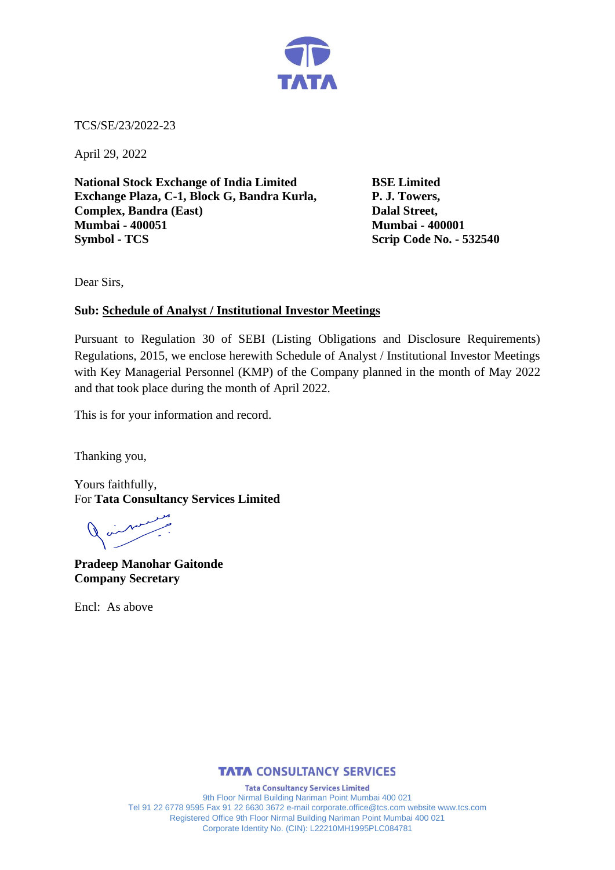

TCS/SE/23/2022-23

April 29, 2022

**National Stock Exchange of India Limited BSE Limited Exchange Plaza, C-1, Block G, Bandra Kurla, P. J. Towers, Complex, Bandra (East) Dalal Street, Mumbai - 400051 Mumbai - 400001 Symbol - TCS Scrip Code No. - 532540**

Dear Sirs,

# **Sub: Schedule of Analyst / Institutional Investor Meetings**

Pursuant to Regulation 30 of SEBI (Listing Obligations and Disclosure Requirements) Regulations, 2015, we enclose herewith Schedule of Analyst / Institutional Investor Meetings with Key Managerial Personnel (KMP) of the Company planned in the month of May 2022 and that took place during the month of April 2022.

This is for your information and record.

Thanking you,

Yours faithfully, For **Tata Consultancy Services Limited**

**Pradeep Manohar Gaitonde Company Secretary**

Encl: As above

# **TATA CONSULTANCY SERVICES**

**Tata Consultancy Services Limited** 9th Floor Nirmal Building Nariman Point Mumbai 400 021 Tel 91 22 6778 9595 Fax 91 22 6630 3672 e-mail corporate.office@tcs.com website www.tcs.com Registered Office 9th Floor Nirmal Building Nariman Point Mumbai 400 021 Corporate Identity No. (CIN): L22210MH1995PLC084781